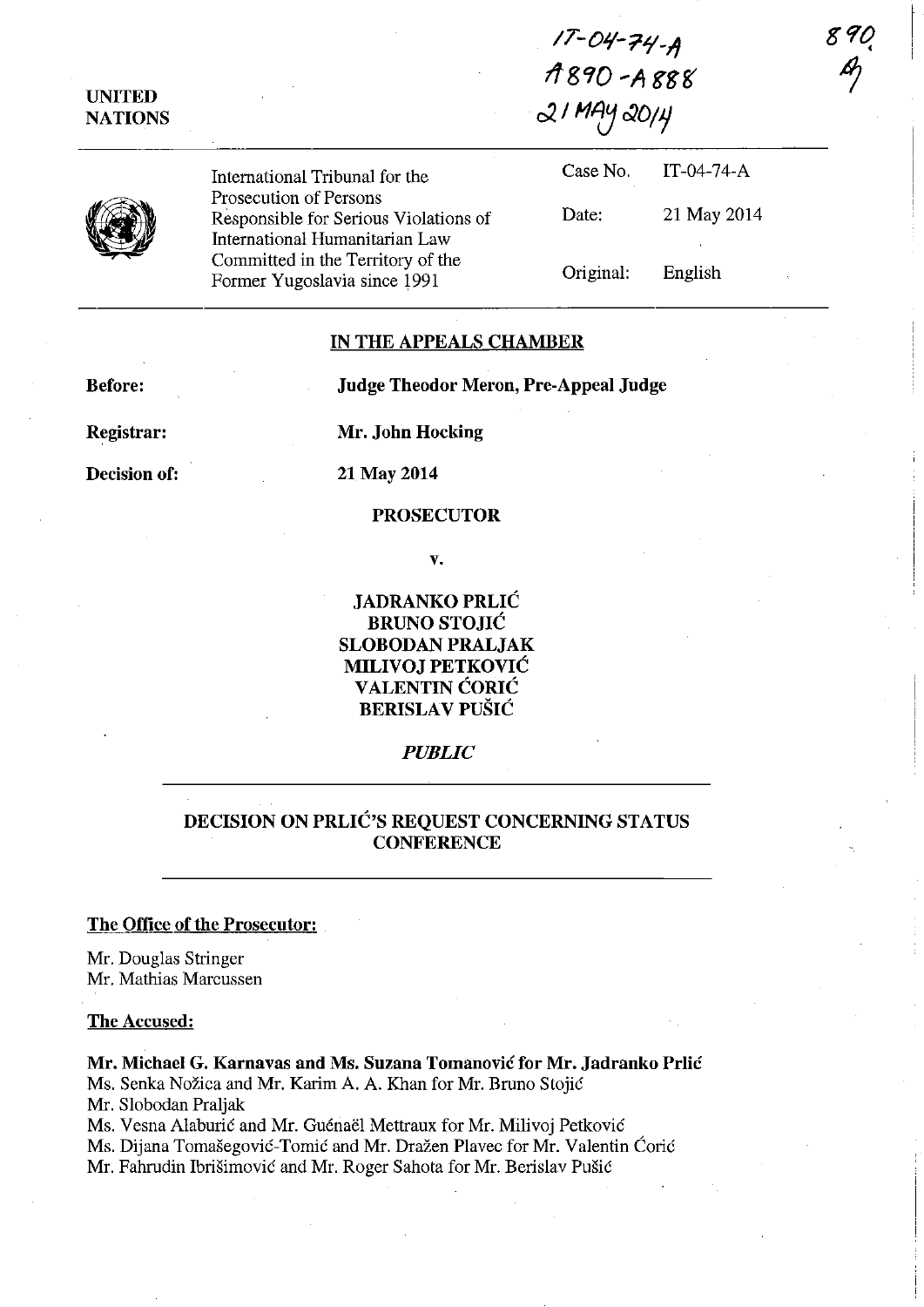*IT-O'l-7/1\_11*  **11890'A** ggf{ c2. */111) 0)0/1* 

| UNITED         |  |
|----------------|--|
| <b>NATIONS</b> |  |

International Tribunal for the Prosecution of Persons Responsible for Serious Violations of International Humanitarian Law Committed in the Territory of the Former Yugoslavia since 1991

| Case No.  | $IT-04-74-A$ |
|-----------|--------------|
| Date:     | 21 May 2014  |
| Original: | English      |

# IN THE APPEALS CHAMBER

Before:

Judge Theodor Meron, Pre-Appeal Judge

Registrar:

Decision of:

Mr. John Hocking

21 May 2014

# PROSECUTOR

v.

JADRANKO PRLIC BRUNO STOJIC SLOBODAN PRALJAK MILIVOJ PETKOVIC VALENTIN CORIC **BERISLAV PUŠIĆ** 

### *PUBLIC*

# DECISION ON PRLIC'S REQUEST CONCERNING STATUS **CONFERENCE**

## The Office of the Prosecutor:

Mr. Douglas Stringer Mr. Mathias Marcussen

### The Accused:

Mr. Michael G. Karnavas and Ms. Suzana Tomanovic for Mr. Jadranko Prlic Ms. Senka Nozica and Mr. Karim A. A. Khan for Mr. Bruno Stojie

Mr. Slobodan Praljak

Ms. Vesna Alaburić and Mr. Guénaël Mettraux for Mr. Milivoj Petković

Ms. Dijana Tomašegović-Tomić and Mr. Dražen Plavec for Mr. Valentin Ćorić

Mr. Fahrudin Ibrišimović and Mr. Roger Sahota for Mr. Berislav Pušić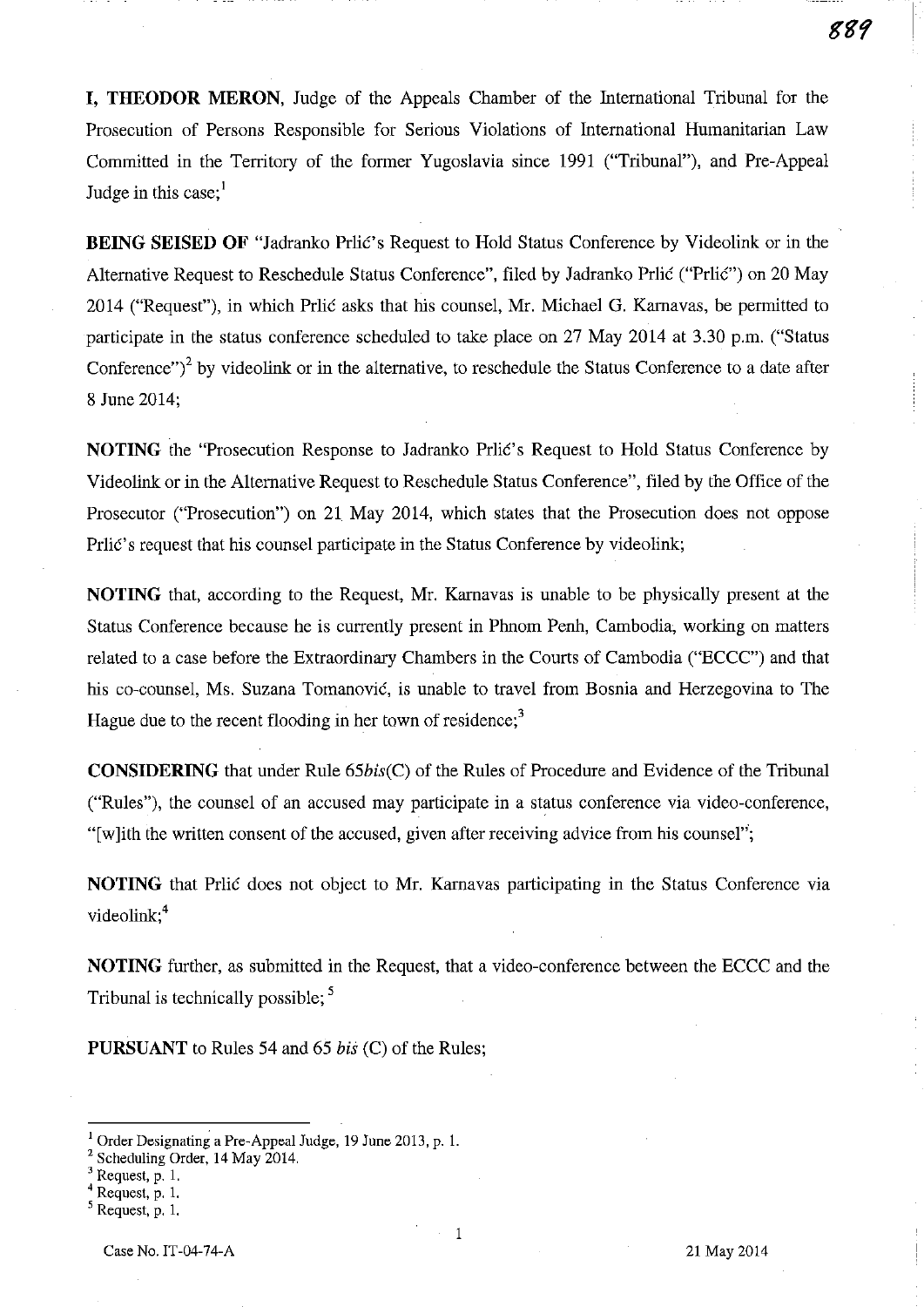**I, THEODOR MERON,** Judge of the Appeals Chamber of the International Tribunal for the Prosecution of Persons Responsible for Serious Violations of International Humanitarian Law Committed in the Territory of the former Yugoslavia since 1991 ("Tribunal"), and Pre-Appeal Judge in this case; $<sup>1</sup>$ </sup>

**BEING SEISED OF** "Jadranko Prlić's Request to Hold Status Conference by Videolink or in the Alternative Request to Reschedule Status Conference", filed by Jadranko Prlić ("Prlić") on 20 May 2014 ("Request"), in which Prlić asks that his counsel, Mr. Michael G. Karnavas, be permitted to participate in the status conference scheduled to take place on 27 May 2014 at 3.30 p.m. ("Status Conference" $i^2$  by videolink or in the alternative, to reschedule the Status Conference to a date after 8 June 2014;

**NOTING** the "Prosecution Response to Jadranko Prlic's Request to Hold Status Conference by Videolink or in the Alternative Request to Reschedule Status Conference", filed by the Office of the Prosecutor ("Prosecution") on 21 May 2014, which states that the Prosecution does not oppose Prlic's request that his counsel participate in the Status Conference by videolink;

**NOTING** that, according to the Request, Mr. Karnavas is unable to be physically present at the Status Conference because he is currently present in Phnom Penh, Cambodia, working on matters related to a case before the Extraordinary Chambers in the Courts of Cambodia ("ECCC") and that his co-counsel, Ms. Suzana Tomanovic, is unable to travel from Bosnia and Herzegovina to The Hague due to the recent flooding in her town of residence;<sup>3</sup>

**CONSIDERING** that under Rule *65bis(C)* of the Rules of Procedure and Evidence of the Tribunal ("Rules"), the counsel of an accused may participate in a status conference via video-conference, "[w lith the written consent of the accused, given after receiving advice from his counsel";

**NOTING** that Pritic does not object to Mr. Karnavas participating in the Status Conference via videolink;<sup>4</sup>

**NOTING** further, as submitted in the Request, that a video-conference between the ECCC and the Tribunal is technically possible;<sup>5</sup>

**PURSUANT** to Rules 54 and 65 *bis* (C) of the Rules;

1

<sup>I</sup>Order Designating a Pre-Appeal Judge, 19 June 2013, p. 1.

<sup>&</sup>lt;sup>2</sup> Scheduling Order, 14 May 2014.

 $3$  Request, p. 1.

<sup>4</sup> Request, p. 1.

Request, p. 1.